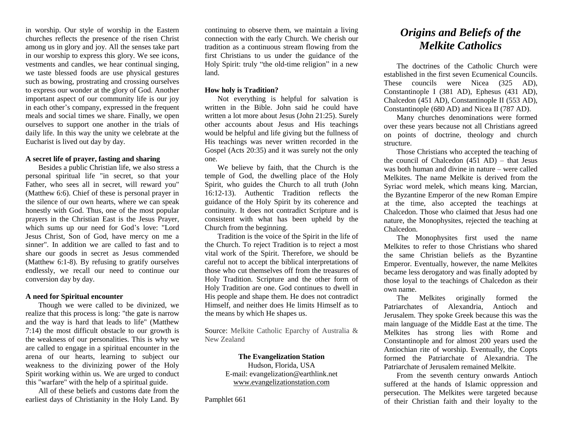in worship. Our style of worship in the Eastern churches reflects the presence of the risen Christ among us in glory and joy. All the senses take part in our worship to express this glory. We see icons, vestments and candles, we hear continual singing, we taste blessed foods are use physical gestures such as bowing, prostrating and crossing ourselves to express our wonder at the glory of God. Another important aspect of our community life is our joy in each other's company, expressed in the frequent meals and social times we share. Finally, we open ourselves to support one another in the trials of daily life. In this way the unity we celebrate at the Eucharist is lived out day by day.

#### **A secret life of prayer, fasting and sharing**

Besides a public Christian life, we also stress a personal spiritual life "in secret, so that your Father, who sees all in secret, will reward you" (Matthew 6:6). Chief of these is personal prayer in the silence of our own hearts, where we can speak honestly with God. Thus, one of the most popular prayers in the Christian East is the Jesus Prayer, which sums up our need for God's love: "Lord Jesus Christ, Son of God, have mercy on me a sinner". In addition we are called to fast and to share our goods in secret as Jesus commended (Matthew 6:1-8). By refusing to gratify ourselves endlessly, we recall our need to continue our conversion day by day.

#### **A need for Spiritual encounter**

Though we were called to be divinized, we realize that this process is long: "the gate is narrow and the way is hard that leads to life" (Matthew 7:14) the most difficult obstacle to our growth is the weakness of our personalities. This is why we are called to engage in a spiritual encounter in the arena of our hearts, learning to subject our weakness to the divinizing power of the Holy Spirit working within us. We are urged to conduct this "warfare" with the help of a spiritual guide.

All of these beliefs and customs date from the earliest days of Christianity in the Holy Land. By

continuing to observe them, we maintain a living connection with the early Church. We cherish our tradition as a continuous stream flowing from the first Christians to us under the guidance of the Holy Spirit: truly "the old-time religion" in a new land.

#### **How holy is Tradition?**

Not everything is helpful for salvation is written in the Bible. John said he could have written a lot more about Jesus (John 21:25). Surely other accounts about Jesus and His teachings would be helpful and life giving but the fullness of His teachings was never written recorded in the Gospel (Acts 20:35) and it was surely not the only one.

We believe by faith, that the Church is the temple of God, the dwelling place of the Holy Spirit, who guides the Church to all truth (John 16:12-13). Authentic Tradition reflects the guidance of the Holy Spirit by its coherence and continuity. It does not contradict Scripture and is consistent with what has been upheld by the Church from the beginning.

Tradition is the voice of the Spirit in the life of the Church. To reject Tradition is to reject a most vital work of the Spirit. Therefore, we should be careful not to accept the biblical interpretations of those who cut themselves off from the treasures of Holy Tradition. Scripture and the other form of Holy Tradition are one. God continues to dwell in His people and shape them. He does not contradict Himself, and neither does He limits Himself as to the means by which He shapes us.

Source: Melkite Catholic Eparchy of Australia & New Zealand

## **The Evangelization Station**

Hudson, Florida, USA E-mail: evangelization@earthlink.net [www.evangelizationstation.com](http://www.pjpiisoe.org/)

Pamphlet 661

# *Origins and Beliefs of the Melkite Catholics*

The doctrines of the Catholic Church were established in the first seven Ecumenical Councils. These councils were Nicea (325 AD), Constantinople I (381 AD), Ephesus (431 AD), Chalcedon (451 AD), Constantinople II (553 AD), Constantinople (680 AD) and Nicea II (787 AD).

Many churches denominations were formed over these years because not all Christians agreed on points of doctrine, theology and church structure.

Those Christians who accepted the teaching of the council of Chalcedon  $(451 \text{ AD})$  – that Jesus was both human and divine in nature – were called Melkites. The name Melkite is derived from the Syriac word melek, which means king. Marcian, the Byzantine Emperor of the new Roman Empire at the time, also accepted the teachings at Chalcedon. Those who claimed that Jesus had one nature, the Monophysites, rejected the teaching at Chalcedon.

The Monophysites first used the name Melkites to refer to those Christians who shared the same Christian beliefs as the Byzantine Emperor. Eventually, however, the name Melkites became less derogatory and was finally adopted by those loyal to the teachings of Chalcedon as their own name.

The Melkites originally formed the Patriarchates of Alexandria, Antioch and Jerusalem. They spoke Greek because this was the main language of the Middle East at the time. The Melkites has strong lies with Rome and Constantinople and for almost 200 years used the Antiochian rite of worship. Eventually, the Copts formed the Patriarchate of Alexandria. The Patriarchate of Jerusalem remained Melkite.

From the seventh century onwards Antioch suffered at the hands of Islamic oppression and persecution. The Melkites were targeted because of their Christian faith and their loyalty to the